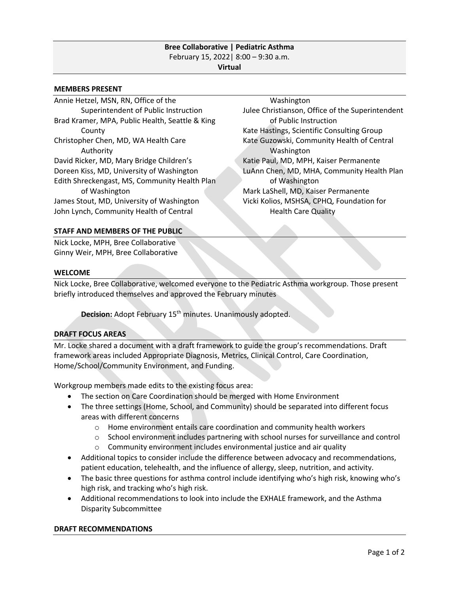## **Bree Collaborative | Pediatric Asthma** February 15, 2022| 8:00 – 9:30 a.m. **Virtual**

#### **MEMBERS PRESENT**

Annie Hetzel, MSN, RN, Office of the Superintendent of Public Instruction Brad Kramer, MPA, Public Health, Seattle & King County Christopher Chen, MD, WA Health Care Authority David Ricker, MD, Mary Bridge Children's Doreen Kiss, MD, University of Washington Edith Shreckengast, MS, Community Health Plan of Washington James Stout, MD, University of Washington John Lynch, Community Health of Central

Washington Julee Christianson, Office of the Superintendent of Public Instruction Kate Hastings, Scientific Consulting Group Kate Guzowski, Community Health of Central Washington Katie Paul, MD, MPH, Kaiser Permanente LuAnn Chen, MD, MHA, Community Health Plan of Washington Mark LaShell, MD, Kaiser Permanente Vicki Kolios, MSHSA, CPHQ, Foundation for Health Care Quality

### **STAFF AND MEMBERS OF THE PUBLIC**

Nick Locke, MPH, Bree Collaborative Ginny Weir, MPH, Bree Collaborative

## **WELCOME**

Nick Locke, Bree Collaborative, welcomed everyone to the Pediatric Asthma workgroup. Those present briefly introduced themselves and approved the February minutes

**Decision:** Adopt February 15th minutes. Unanimously adopted.

# **DRAFT FOCUS AREAS**

Mr. Locke shared a document with a draft framework to guide the group's recommendations. Draft framework areas included Appropriate Diagnosis, Metrics, Clinical Control, Care Coordination, Home/School/Community Environment, and Funding.

Workgroup members made edits to the existing focus area:

- The section on Care Coordination should be merged with Home Environment
- The three settings (Home, School, and Community) should be separated into different focus areas with different concerns
	- $\circ$  Home environment entails care coordination and community health workers
	- $\circ$  School environment includes partnering with school nurses for surveillance and control
	- $\circ$  Community environment includes environmental justice and air quality
- Additional topics to consider include the difference between advocacy and recommendations, patient education, telehealth, and the influence of allergy, sleep, nutrition, and activity.
- The basic three questions for asthma control include identifying who's high risk, knowing who's high risk, and tracking who's high risk.
- Additional recommendations to look into include the EXHALE framework, and the Asthma Disparity Subcommittee

### **DRAFT RECOMMENDATIONS**